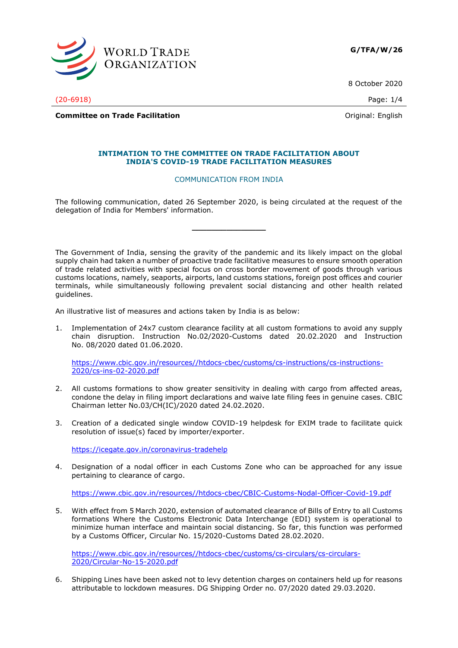

8 October 2020

(20-6918) Page: 1/4

**Committee on Trade Facilitation Committee on Trade Facilitation Committee on Trade Facilitation** 

## **INTIMATION TO THE COMMITTEE ON TRADE FACILITATION ABOUT INDIA'S COVID-19 TRADE FACILITATION MEASURES**

## COMMUNICATION FROM INDIA

The following communication, dated 26 September 2020, is being circulated at the request of the delegation of India for Members' information.

**\_\_\_\_\_\_\_\_\_\_\_\_\_\_\_**

The Government of India, sensing the gravity of the pandemic and its likely impact on the global supply chain had taken a number of proactive trade facilitative measures to ensure smooth operation of trade related activities with special focus on cross border movement of goods through various customs locations, namely, seaports, airports, land customs stations, foreign post offices and courier terminals, while simultaneously following prevalent social distancing and other health related guidelines.

An illustrative list of measures and actions taken by India is as below:

1. Implementation of 24x7 custom clearance facility at all custom formations to avoid any supply chain disruption. Instruction No.02/2020-Customs dated 20.02.2020 and Instruction No. 08/2020 dated 01.06.2020.

[https://www.cbic.gov.in/resources//htdocs-cbec/customs/cs-instructions/cs-instructions-](https://www.cbic.gov.in/resources/htdocs-cbec/customs/cs-instructions/cs-instructions-2020/cs-ins-02-2020.pdf)[2020/cs-ins-02-2020.pdf](https://www.cbic.gov.in/resources/htdocs-cbec/customs/cs-instructions/cs-instructions-2020/cs-ins-02-2020.pdf)

- 2. All customs formations to show greater sensitivity in dealing with cargo from affected areas, condone the delay in filing import declarations and waive late filing fees in genuine cases. CBIC Chairman letter No.03/CH(IC)/2020 dated 24.02.2020.
- 3. Creation of a dedicated single window COVID-19 helpdesk for EXIM trade to facilitate quick resolution of issue(s) faced by importer/exporter.

<https://icegate.gov.in/coronavirus-tradehelp>

4. Designation of a nodal officer in each Customs Zone who can be approached for any issue pertaining to clearance of cargo.

[https://www.cbic.gov.in/resources//htdocs-cbec/CBIC-Customs-Nodal-Officer-Covid-19.pdf](https://www.cbic.gov.in/resources/htdocs-cbec/CBIC-Customs-Nodal-Officer-Covid-19.pdf)

5. With effect from 5 March 2020, extension of automated clearance of Bills of Entry to all Customs formations Where the Customs Electronic Data Interchange (EDI) system is operational to minimize human interface and maintain social distancing. So far, this function was performed by a Customs Officer, Circular No. 15/2020-Customs Dated 28.02.2020.

[https://www.cbic.gov.in/resources//htdocs-cbec/customs/cs-circulars/cs-circulars-](https://www.cbic.gov.in/resources/htdocs-cbec/customs/cs-circulars/cs-circulars-2020/Circular-No-15-2020.pdf)[2020/Circular-No-15-2020.pdf](https://www.cbic.gov.in/resources/htdocs-cbec/customs/cs-circulars/cs-circulars-2020/Circular-No-15-2020.pdf)

6. Shipping Lines have been asked not to levy detention charges on containers held up for reasons attributable to lockdown measures. DG Shipping Order no. 07/2020 dated 29.03.2020.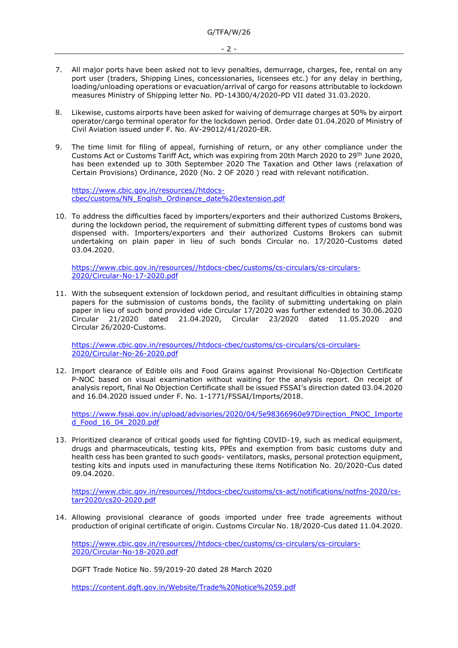- 2 -
- 7. All major ports have been asked not to levy penalties, demurrage, charges, fee, rental on any port user (traders, Shipping Lines, concessionaries, licensees etc.) for any delay in berthing, loading/unloading operations or evacuation/arrival of cargo for reasons attributable to lockdown measures Ministry of Shipping letter No. PD-14300/4/2020-PD VII dated 31.03.2020.
- 8. Likewise, customs airports have been asked for waiving of demurrage charges at 50% by airport operator/cargo terminal operator for the lockdown period. Order date 01.04.2020 of Ministry of Civil Aviation issued under F. No. AV-29012/41/2020-ER.
- 9. The time limit for filing of appeal, furnishing of return, or any other compliance under the Customs Act or Customs Tariff Act, which was expiring from 20th March 2020 to 29th June 2020, has been extended up to 30th September 2020 The Taxation and Other laws (relaxation of Certain Provisions) Ordinance, 2020 (No. 2 OF 2020 ) read with relevant notification.

[https://www.cbic.gov.in/resources//htdocs](https://www.cbic.gov.in/resources/htdocs-cbec/customs/NN_English_Ordinance_date%20extension.pdf)[cbec/customs/NN\\_English\\_Ordinance\\_date%20extension.pdf](https://www.cbic.gov.in/resources/htdocs-cbec/customs/NN_English_Ordinance_date%20extension.pdf)

10. To address the difficulties faced by importers/exporters and their authorized Customs Brokers, during the lockdown period, the requirement of submitting different types of customs bond was dispensed with. Importers/exporters and their authorized Customs Brokers can submit undertaking on plain paper in lieu of such bonds Circular no. 17/2020-Customs dated 03.04.2020.

[https://www.cbic.gov.in/resources//htdocs-cbec/customs/cs-circulars/cs-circulars-](https://www.cbic.gov.in/resources/htdocs-cbec/customs/cs-circulars/cs-circulars-2020/Circular-No-17-2020.pdf)[2020/Circular-No-17-2020.pdf](https://www.cbic.gov.in/resources/htdocs-cbec/customs/cs-circulars/cs-circulars-2020/Circular-No-17-2020.pdf)

11. With the subsequent extension of lockdown period, and resultant difficulties in obtaining stamp papers for the submission of customs bonds, the facility of submitting undertaking on plain paper in lieu of such bond provided vide Circular 17/2020 was further extended to 30.06.2020 Circular 21/2020 dated 21.04.2020, Circular 23/2020 dated 11.05.2020 and Circular 26/2020-Customs.

[https://www.cbic.gov.in/resources//htdocs-cbec/customs/cs-circulars/cs-circulars-](https://www.cbic.gov.in/resources/htdocs-cbec/customs/cs-circulars/cs-circulars-2020/Circular-No-26-2020.pdf)[2020/Circular-No-26-2020.pdf](https://www.cbic.gov.in/resources/htdocs-cbec/customs/cs-circulars/cs-circulars-2020/Circular-No-26-2020.pdf)

12. Import clearance of Edible oils and Food Grains against Provisional No-Objection Certificate P-NOC based on visual examination without waiting for the analysis report. On receipt of analysis report, final No Objection Certificate shall be issued FSSAI's direction dated 03.04.2020 and 16.04.2020 issued under F. No. 1-1771/FSSAI/Imports/2018.

[https://www.fssai.gov.in/upload/advisories/2020/04/5e98366960e97Direction\\_PNOC\\_Importe](https://www.fssai.gov.in/upload/advisories/2020/04/5e98366960e97Direction_PNOC_Imported_Food_16_04_2020.pdf) [d\\_Food\\_16\\_04\\_2020.pdf](https://www.fssai.gov.in/upload/advisories/2020/04/5e98366960e97Direction_PNOC_Imported_Food_16_04_2020.pdf)

13. Prioritized clearance of critical goods used for fighting COVID-19, such as medical equipment, drugs and pharmaceuticals, testing kits, PPEs and exemption from basic customs duty and health cess has been granted to such goods- ventilators, masks, personal protection equipment, testing kits and inputs used in manufacturing these items Notification No. 20/2020-Cus dated 09.04.2020.

[https://www.cbic.gov.in/resources//htdocs-cbec/customs/cs-act/notifications/notfns-2020/cs](https://www.cbic.gov.in/resources/htdocs-cbec/customs/cs-act/notifications/notfns-2020/cs-tarr2020/cs20-2020.pdf)[tarr2020/cs20-2020.pdf](https://www.cbic.gov.in/resources/htdocs-cbec/customs/cs-act/notifications/notfns-2020/cs-tarr2020/cs20-2020.pdf)

14. Allowing provisional clearance of goods imported under free trade agreements without production of original certificate of origin. Customs Circular No. 18/2020-Cus dated 11.04.2020.

[https://www.cbic.gov.in/resources//htdocs-cbec/customs/cs-circulars/cs-circulars-](https://www.cbic.gov.in/resources/htdocs-cbec/customs/cs-circulars/cs-circulars-2020/Circular-No-18-2020.pdf)[2020/Circular-No-18-2020.pdf](https://www.cbic.gov.in/resources/htdocs-cbec/customs/cs-circulars/cs-circulars-2020/Circular-No-18-2020.pdf)

DGFT Trade Notice No. 59/2019-20 dated 28 March 2020

<https://content.dgft.gov.in/Website/Trade%20Notice%2059.pdf>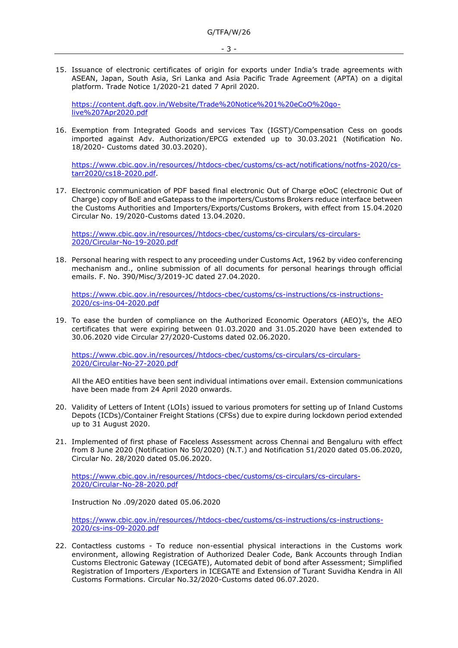- 3 -
- 15. Issuance of electronic certificates of origin for exports under India's trade agreements with ASEAN, Japan, South Asia, Sri Lanka and Asia Pacific Trade Agreement (APTA) on a digital platform. Trade Notice 1/2020-21 dated 7 April 2020.

[https://content.dgft.gov.in/Website/Trade%20Notice%201%20eCoO%20go](https://content.dgft.gov.in/Website/Trade%20Notice%201%20eCoO%20go-live%207Apr2020.pdf)[live%207Apr2020.pdf](https://content.dgft.gov.in/Website/Trade%20Notice%201%20eCoO%20go-live%207Apr2020.pdf)

16. Exemption from Integrated Goods and services Tax (IGST)/Compensation Cess on goods imported against Adv. Authorization/EPCG extended up to 30.03.2021 (Notification No. 18/2020- Customs dated 30.03.2020).

[https://www.cbic.gov.in/resources//htdocs-cbec/customs/cs-act/notifications/notfns-2020/cs](https://www.cbic.gov.in/resources/htdocs-cbec/customs/cs-act/notifications/notfns-2020/cs-tarr2020/cs18-2020.pdf)[tarr2020/cs18-2020.pdf.](https://www.cbic.gov.in/resources/htdocs-cbec/customs/cs-act/notifications/notfns-2020/cs-tarr2020/cs18-2020.pdf)

17. Electronic communication of PDF based final electronic Out of Charge eOoC (electronic Out of Charge) copy of BoE and eGatepass to the importers/Customs Brokers reduce interface between the Customs Authorities and Importers/Exports/Customs Brokers, with effect from 15.04.2020 Circular No. 19/2020-Customs dated 13.04.2020.

[https://www.cbic.gov.in/resources//htdocs-cbec/customs/cs-circulars/cs-circulars-](https://www.cbic.gov.in/resources/htdocs-cbec/customs/cs-circulars/cs-circulars-2020/Circular-No-19-2020.pdf)[2020/Circular-No-19-2020.pdf](https://www.cbic.gov.in/resources/htdocs-cbec/customs/cs-circulars/cs-circulars-2020/Circular-No-19-2020.pdf)

18. Personal hearing with respect to any proceeding under Customs Act, 1962 by video conferencing mechanism and., online submission of all documents for personal hearings through official emails. F. No. 390/Misc/3/2019-JC dated 27.04.2020.

[https://www.cbic.gov.in/resources//htdocs-cbec/customs/cs-instructions/cs-instructions-](https://www.cbic.gov.in/resources/htdocs-cbec/customs/cs-instructions/cs-instructions-2020/cs-ins-04-2020.pdf)[2020/cs-ins-04-2020.pdf](https://www.cbic.gov.in/resources/htdocs-cbec/customs/cs-instructions/cs-instructions-2020/cs-ins-04-2020.pdf)

19. To ease the burden of compliance on the Authorized Economic Operators (AEO)'s, the AEO certificates that were expiring between 01.03.2020 and 31.05.2020 have been extended to 30.06.2020 vide Circular 27/2020-Customs dated 02.06.2020.

[https://www.cbic.gov.in/resources//htdocs-cbec/customs/cs-circulars/cs-circulars-](https://www.cbic.gov.in/resources/htdocs-cbec/customs/cs-circulars/cs-circulars-2020/Circular-No-27-2020.pdf)[2020/Circular-No-27-2020.pdf](https://www.cbic.gov.in/resources/htdocs-cbec/customs/cs-circulars/cs-circulars-2020/Circular-No-27-2020.pdf)

All the AEO entities have been sent individual intimations over email. Extension communications have been made from 24 April 2020 onwards.

- 20. Validity of Letters of Intent (LOIs) issued to various promoters for setting up of Inland Customs Depots (ICDs)/Container Freight Stations (CFSs) due to expire during lockdown period extended up to 31 August 2020.
- 21. Implemented of first phase of Faceless Assessment across Chennai and Bengaluru with effect from 8 June 2020 (Notification No 50/2020) (N.T.) and Notification 51/2020 dated 05.06.2020, Circular No. 28/2020 dated 05.06.2020.

[https://www.cbic.gov.in/resources//htdocs-cbec/customs/cs-circulars/cs-circulars-](https://www.cbic.gov.in/resources/htdocs-cbec/customs/cs-circulars/cs-circulars-2020/Circular-No-28-2020.pdf)[2020/Circular-No-28-2020.pdf](https://www.cbic.gov.in/resources/htdocs-cbec/customs/cs-circulars/cs-circulars-2020/Circular-No-28-2020.pdf)

Instruction No .09/2020 dated 05.06.2020

[https://www.cbic.gov.in/resources//htdocs-cbec/customs/cs-instructions/cs-instructions-](https://www.cbic.gov.in/resources/htdocs-cbec/customs/cs-instructions/cs-instructions-2020/cs-ins-09-2020.pdf)[2020/cs-ins-09-2020.pdf](https://www.cbic.gov.in/resources/htdocs-cbec/customs/cs-instructions/cs-instructions-2020/cs-ins-09-2020.pdf)

22. Contactless customs - To reduce non-essential physical interactions in the Customs work environment, allowing Registration of Authorized Dealer Code, Bank Accounts through Indian Customs Electronic Gateway (ICEGATE), Automated debit of bond after Assessment; Simplified Registration of Importers /Exporters in ICEGATE and Extension of Turant Suvidha Kendra in All Customs Formations. Circular No.32/2020-Customs dated 06.07.2020.